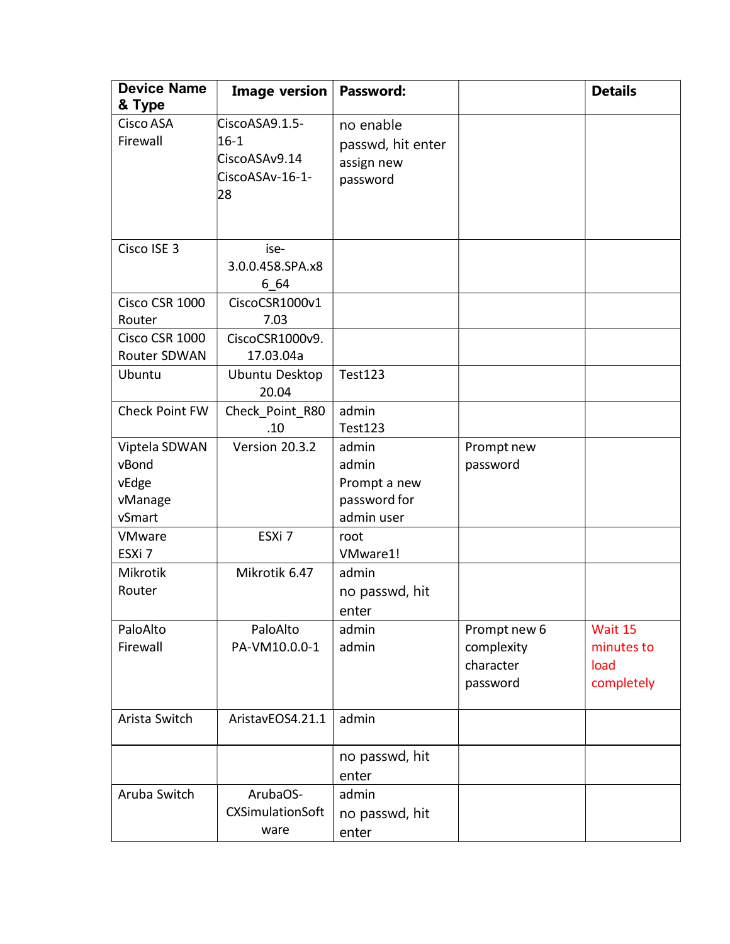| <b>Device Name</b><br>& Type                         | <b>Image version</b>                                                 | Password:                                                    |                                                     | <b>Details</b>                              |
|------------------------------------------------------|----------------------------------------------------------------------|--------------------------------------------------------------|-----------------------------------------------------|---------------------------------------------|
| Cisco ASA<br>Firewall                                | CiscoASA9.1.5-<br>$16 - 1$<br>CiscoASAv9.14<br>CiscoASAv-16-1-<br>28 | no enable<br>passwd, hit enter<br>assign new<br>password     |                                                     |                                             |
| Cisco ISE 3                                          | ise-<br>3.0.0.458.SPA.x8<br>6 64                                     |                                                              |                                                     |                                             |
| Cisco CSR 1000<br>Router                             | CiscoCSR1000v1<br>7.03                                               |                                                              |                                                     |                                             |
| Cisco CSR 1000<br>Router SDWAN                       | CiscoCSR1000v9.<br>17.03.04a                                         |                                                              |                                                     |                                             |
| Ubuntu                                               | Ubuntu Desktop<br>20.04                                              | <b>Test123</b>                                               |                                                     |                                             |
| Check Point FW                                       | Check Point R80<br>.10                                               | admin<br>Test123                                             |                                                     |                                             |
| Viptela SDWAN<br>vBond<br>vEdge<br>vManage<br>vSmart | Version 20.3.2                                                       | admin<br>admin<br>Prompt a new<br>password for<br>admin user | Prompt new<br>password                              |                                             |
| VMware<br>ESXi <sub>7</sub>                          | ESXi 7                                                               | root<br>VMware1!                                             |                                                     |                                             |
| Mikrotik<br>Router                                   | Mikrotik 6.47                                                        | admin<br>no passwd, hit<br>enter                             |                                                     |                                             |
| PaloAlto<br>Firewall                                 | PaloAlto<br>PA-VM10.0.0-1                                            | admin<br>admin                                               | Prompt new 6<br>complexity<br>character<br>password | Wait 15<br>minutes to<br>load<br>completely |
| Arista Switch                                        | AristavEOS4.21.1                                                     | admin                                                        |                                                     |                                             |
|                                                      |                                                                      | no passwd, hit<br>enter                                      |                                                     |                                             |
| Aruba Switch                                         | ArubaOS-<br><b>CXSimulationSoft</b><br>ware                          | admin<br>no passwd, hit<br>enter                             |                                                     |                                             |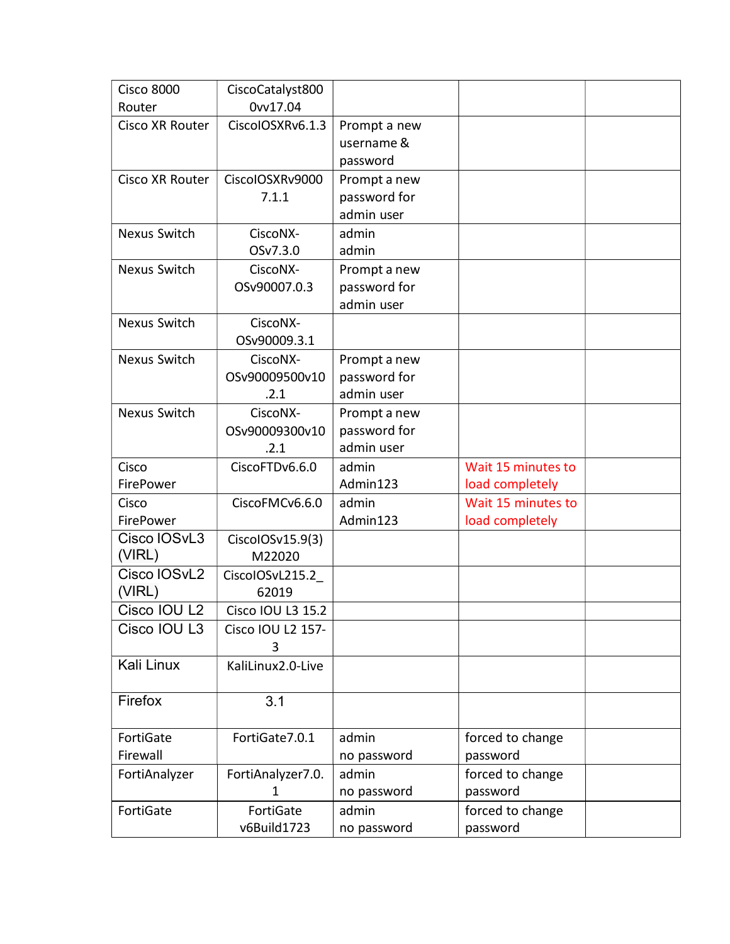| <b>Cisco 8000</b>   | CiscoCatalyst800       |                            |                    |  |
|---------------------|------------------------|----------------------------|--------------------|--|
| Router              | 0vv17.04               |                            |                    |  |
| Cisco XR Router     | CiscolOSXRv6.1.3       | Prompt a new               |                    |  |
|                     |                        | username &                 |                    |  |
|                     |                        | password                   |                    |  |
| Cisco XR Router     | CiscolOSXRv9000        | Prompt a new               |                    |  |
|                     | 7.1.1                  | password for               |                    |  |
|                     |                        | admin user                 |                    |  |
| <b>Nexus Switch</b> | CiscoNX-               | admin                      |                    |  |
|                     | OSv7.3.0               | admin                      |                    |  |
| <b>Nexus Switch</b> | CiscoNX-               | Prompt a new               |                    |  |
|                     | OSv90007.0.3           | password for               |                    |  |
|                     |                        | admin user                 |                    |  |
| <b>Nexus Switch</b> | CiscoNX-               |                            |                    |  |
|                     | OSv90009.3.1           |                            |                    |  |
| Nexus Switch        | CiscoNX-               | Prompt a new               |                    |  |
|                     | OSv90009500v10         | password for<br>admin user |                    |  |
|                     | .2.1                   |                            |                    |  |
| <b>Nexus Switch</b> | CiscoNX-               | Prompt a new               |                    |  |
|                     | OSv90009300v10<br>.2.1 | password for<br>admin user |                    |  |
| Cisco               | CiscoFTDv6.6.0         | admin                      | Wait 15 minutes to |  |
| FirePower           |                        | Admin123                   | load completely    |  |
| Cisco               | CiscoFMCv6.6.0         | admin                      | Wait 15 minutes to |  |
| FirePower           |                        | Admin123                   | load completely    |  |
| Cisco IOSvL3        | CiscolOSv15.9(3)       |                            |                    |  |
| (VIRL)              | M22020                 |                            |                    |  |
| Cisco IOSvL2        | CiscolOSvL215.2        |                            |                    |  |
| (VIRL)              | 62019                  |                            |                    |  |
| Cisco IOU L2        | Cisco IOU L3 15.2      |                            |                    |  |
| Cisco IOU L3        | Cisco IOU L2 157-      |                            |                    |  |
|                     | 3                      |                            |                    |  |
| Kali Linux          | KaliLinux2.0-Live      |                            |                    |  |
|                     |                        |                            |                    |  |
| Firefox             | 3.1                    |                            |                    |  |
|                     |                        |                            |                    |  |
| FortiGate           | FortiGate7.0.1         | admin                      | forced to change   |  |
| Firewall            |                        | no password                | password           |  |
| FortiAnalyzer       | FortiAnalyzer7.0.      | admin                      | forced to change   |  |
|                     | 1                      | no password                | password           |  |
| FortiGate           | FortiGate              | admin                      | forced to change   |  |
|                     | v6Build1723            | no password                | password           |  |